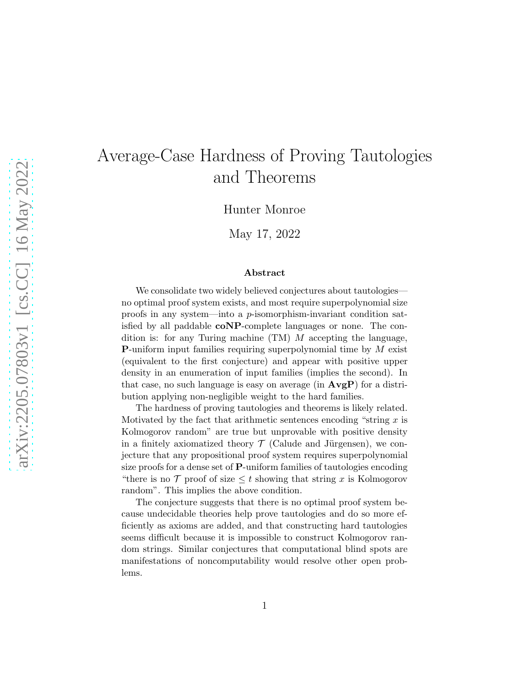# Average-Case Hardness of Proving Tautologies and Theorems

Hunter Monroe

May 17, 2022

#### Abstract

We consolidate two widely believed conjectures about tautologies no optimal proof system exists, and most require superpolynomial size proofs in any system—into a p-isomorphism-invariant condition satisfied by all paddable coNP-complete languages or none. The condition is: for any Turing machine (TM) M accepting the language, **P**-uniform input families requiring superpolynomial time by  $M$  exist (equivalent to the first conjecture) and appear with positive upper density in an enumeration of input families (implies the second). In that case, no such language is easy on average (in  $\text{AvgP}$ ) for a distribution applying non-negligible weight to the hard families.

The hardness of proving tautologies and theorems is likely related. Motivated by the fact that arithmetic sentences encoding "string  $x$  is Kolmogorov random" are true but unprovable with positive density in a finitely axiomatized theory  $\mathcal T$  (Calude and Jürgensen), we conjecture that any propositional proof system requires superpolynomial size proofs for a dense set of P-uniform families of tautologies encoding "there is no  $\mathcal T$  proof of size  $\leq t$  showing that string x is Kolmogorov random". This implies the above condition.

The conjecture suggests that there is no optimal proof system because undecidable theories help prove tautologies and do so more efficiently as axioms are added, and that constructing hard tautologies seems difficult because it is impossible to construct Kolmogorov random strings. Similar conjectures that computational blind spots are manifestations of noncomputability would resolve other open problems.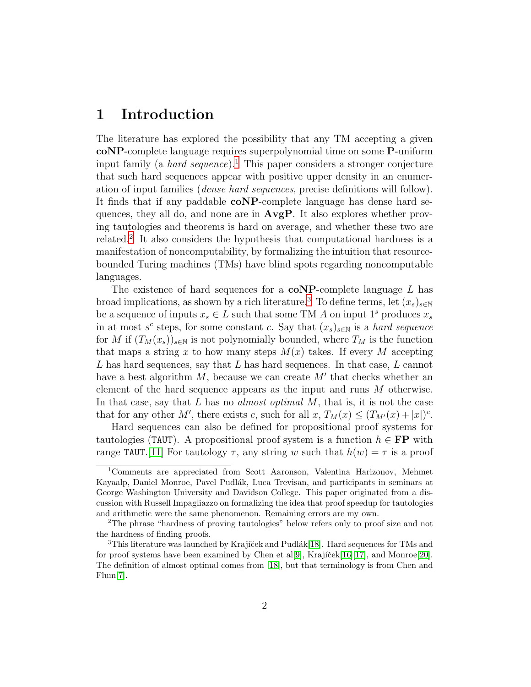### 1 Introduction

The literature has explored the possibility that any TM accepting a given coNP-complete language requires superpolynomial time on some P-uniform input family (a *hard sequence*).<sup>[1](#page-1-0)</sup> This paper considers a stronger conjecture that such hard sequences appear with positive upper density in an enumeration of input families (dense hard sequences, precise definitions will follow). It finds that if any paddable coNP-complete language has dense hard sequences, they all do, and none are in AvgP. It also explores whether proving tautologies and theorems is hard on average, and whether these two are related.[2](#page-1-1) It also considers the hypothesis that computational hardness is a manifestation of noncomputability, by formalizing the intuition that resourcebounded Turing machines (TMs) have blind spots regarding noncomputable languages.

The existence of hard sequences for a  $coNP$ -complete language  $L$  has broad implications, as shown by a rich literature.<sup>[3](#page-1-2)</sup> To define terms, let  $(x_s)_{s\in\mathbb{N}}$ be a sequence of inputs  $x_s \in L$  such that some TM A on input  $1^s$  produces  $x_s$ in at most  $s^c$  steps, for some constant c. Say that  $(x_s)_{s\in\mathbb{N}}$  is a hard sequence for M if  $(T_M(x_s))_{s\in\mathbb{N}}$  is not polynomially bounded, where  $T_M$  is the function that maps a string x to how many steps  $M(x)$  takes. If every M accepting L has hard sequences, say that L has hard sequences. In that case, L cannot have a best algorithm  $M$ , because we can create  $M'$  that checks whether an element of the hard sequence appears as the input and runs M otherwise. In that case, say that L has no *almost optimal M*, that is, it is not the case that for any other M', there exists c, such for all  $x, T_M(x) \leq (T_{M'}(x) + |x|)^c$ .

Hard sequences can also be defined for propositional proof systems for tautologies (TAUT). A propositional proof system is a function  $h \in \mathbf{FP}$  with range TAUT. [\[11\]](#page-13-0) For tautology  $\tau$ , any string w such that  $h(w) = \tau$  is a proof

<span id="page-1-0"></span><sup>1</sup>Comments are appreciated from Scott Aaronson, Valentina Harizonov, Mehmet Kayaalp, Daniel Monroe, Pavel Pudlák, Luca Trevisan, and participants in seminars at George Washington University and Davidson College. This paper originated from a discussion with Russell Impagliazzo on formalizing the idea that proof speedup for tautologies and arithmetic were the same phenomenon. Remaining errors are my own.

<span id="page-1-1"></span><sup>2</sup>The phrase "hardness of proving tautologies" below refers only to proof size and not the hardness of finding proofs.

<span id="page-1-2"></span> $3$ This literature was launched by Krajíček and Pudlák[\[18\]](#page-14-0). Hard sequences for TMs and for proof systems have been examined by Chen et al[\[9\]](#page-13-1), Krajíček[\[16\]](#page-14-1)[\[17\]](#page-14-2), and Monroe[\[20\]](#page-14-3). The definition of almost optimal comes from [\[18\]](#page-14-0), but that terminology is from Chen and Flum[\[7\]](#page-13-2).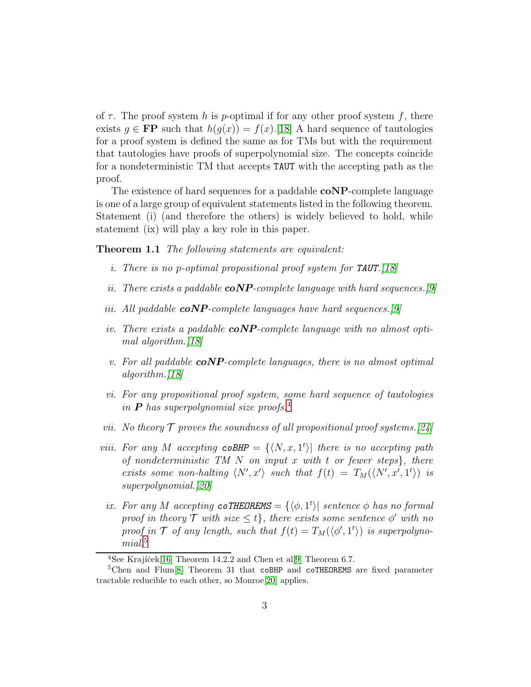of  $\tau$ . The proof system h is p-optimal if for any other proof system f, there exists  $g \in \mathbf{FP}$  such that  $h(g(x)) = f(x)$ .[\[18\]](#page-14-0) A hard sequence of tautologies for a proof system is defined the same as for TMs but with the requirement that tautologies have proofs of superpolynomial size. The concepts coincide for a nondeterministic TM that accepts TAUT with the accepting path as the proof.

The existence of hard sequences for a paddable **coNP**-complete language is one of a large group of equivalent statements listed in the following theorem. Statement (i) (and therefore the others) is widely believed to hold, while statement (ix) will play a key role in this paper.

<span id="page-2-2"></span>**Theorem 1.1** The following statements are equivalent:

- i. There is no p-optimal propositional proof system for **TAUT**. [\[18\]](#page-14-0)
- ii. There exists a paddable  $coNP$ -complete language with hard sequences. [\[9\]](#page-13-1)
- iii. All paddable  $coNP$ -complete languages have hard sequences.[\[9\]](#page-13-1)
- iv. There exists a paddable  $coNP$ -complete language with no almost opti-mal algorithm.[\[18\]](#page-14-0)
- v. For all paddable  $coNP$ -complete languages, there is no almost optimal algorithm.[\[18\]](#page-14-0)
- vi. For any propositional proof system, some hard sequence of tautologies in **P** has superpolynomial size proofs.<sup>[4](#page-2-0)</sup>
- vii. No theory  $\mathcal T$  proves the soundness of all propositional proof systems. [\[24\]](#page-14-4)
- viii. For any M accepting  $\text{coBHP} = \{ \langle N, x, 1^t \rangle |$  there is no accepting path of nondeterministic TM  $N$  on input  $x$  with  $t$  or fewer steps $\}$ , there exists some non-halting  $\langle N', x' \rangle$  such that  $f(t) = T_M(\langle N', x', 1^t \rangle)$  is superpolynomial.[\[20\]](#page-14-3)
	- ix. For any M accepting  $\text{coTHEOREMS} = {\langle \phi, 1^t \rangle}$  sentence  $\phi$  has no formal proof in theory  $\mathcal T$  with size  $\leq t$ , there exists some sentence  $\phi'$  with no proof in  $\mathcal T$  of any length, such that  $f(t) = T_M(\langle \phi', 1^t \rangle)$  is superpolyno-mial.<sup>[5](#page-2-1)</sup>

<span id="page-2-0"></span><sup>&</sup>lt;sup>4</sup>See Krajíček<sup>[\[16\]](#page-14-1)</sup> Theorem 14.2.2 and Chen et al<sup>[\[9\]](#page-13-1)</sup> Theorem 6.7.

<span id="page-2-1"></span><sup>&</sup>lt;sup>5</sup>Chen and Flum<sup>[\[8\]](#page-13-3)</sup> Theorem 31 that coBHP and coTHEOREMS are fixed parameter tractable reducible to each other, so Monroe[\[20\]](#page-14-3) applies.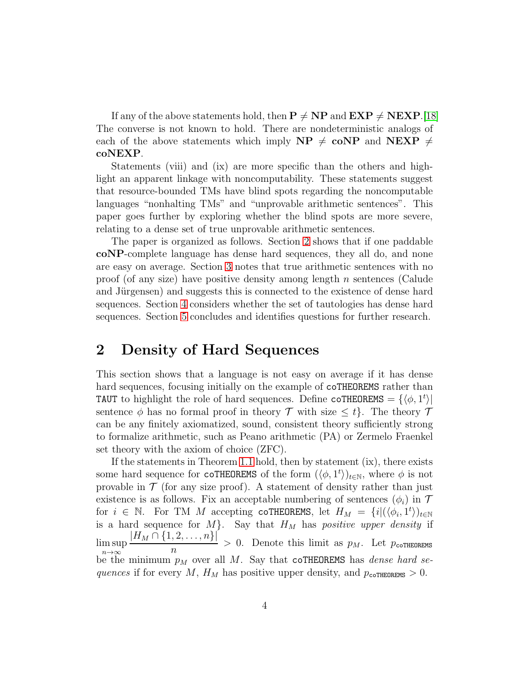If any of the above statements hold, then  $P \neq NP$  and  $EXP \neq NEXP.$ [\[18\]](#page-14-0) The converse is not known to hold. There are nondeterministic analogs of each of the above statements which imply  $NP \neq coNP$  and  $NEXP \neq$ coNEXP.

Statements (viii) and (ix) are more specific than the others and highlight an apparent linkage with noncomputability. These statements suggest that resource-bounded TMs have blind spots regarding the noncomputable languages "nonhalting TMs" and "unprovable arithmetic sentences". This paper goes further by exploring whether the blind spots are more severe, relating to a dense set of true unprovable arithmetic sentences.

The paper is organized as follows. Section [2](#page-3-0) shows that if one paddable coNP-complete language has dense hard sequences, they all do, and none are easy on average. Section [3](#page-6-0) notes that true arithmetic sentences with no proof (of any size) have positive density among length n sentences (Calude and Jürgensen) and suggests this is connected to the existence of dense hard sequences. Section [4](#page-9-0) considers whether the set of tautologies has dense hard sequences. Section [5](#page-10-0) concludes and identifies questions for further research.

### <span id="page-3-0"></span>2 Density of Hard Sequences

This section shows that a language is not easy on average if it has dense hard sequences, focusing initially on the example of coTHEOREMS rather than TAUT to highlight the role of hard sequences. Define coTHEOREMS =  $\{\langle \phi, 1^t \rangle |$ sentence  $\phi$  has no formal proof in theory  $\mathcal T$  with size  $\leq t$ . The theory  $\mathcal T$ can be any finitely axiomatized, sound, consistent theory sufficiently strong to formalize arithmetic, such as Peano arithmetic (PA) or Zermelo Fraenkel set theory with the axiom of choice (ZFC).

If the statements in Theorem [1.1](#page-2-2) hold, then by statement (ix), there exists some hard sequence for coTHEOREMS of the form  $(\langle \phi, 1^t \rangle)_{t \in \mathbb{N}}$ , where  $\phi$  is not provable in  $\mathcal T$  (for any size proof). A statement of density rather than just existence is as follows. Fix an acceptable numbering of sentences  $(\phi_i)$  in T for  $i \in \mathbb{N}$ . For TM M accepting coTHEOREMS, let  $H_M = \{i | (\langle \phi_i, 1^t \rangle)_{t \in \mathbb{N}}\}$ is a hard sequence for  $M$ . Say that  $H_M$  has positive upper density if lim sup n→∞  $|H_M \cap \{1, 2, \ldots, n\}|$  $\frac{n}{n}$  > 0. Denote this limit as  $p_M$ . Let  $p_{\text{coTHEOREMS}}$ be the minimum  $p_M$  over all M. Say that coTHEOREMS has *dense hard se*quences if for every M,  $H_M$  has positive upper density, and  $p_{\text{coTHEOREMS}} > 0$ .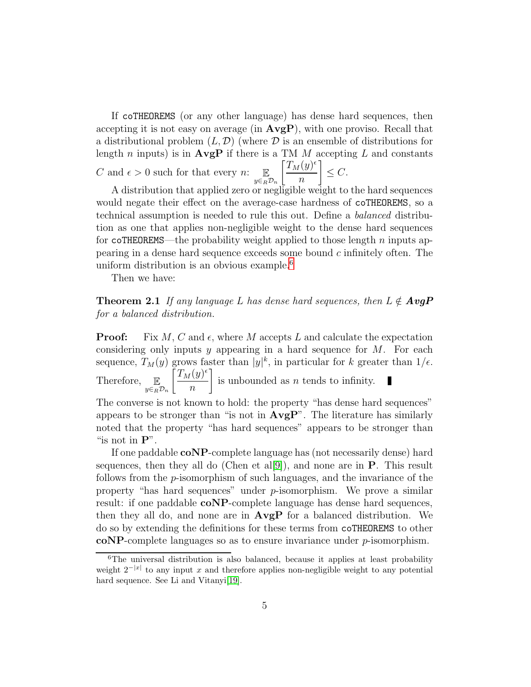If coTHEOREMS (or any other language) has dense hard sequences, then accepting it is not easy on average (in  $AvgP$ ), with one proviso. Recall that a distributional problem  $(L, \mathcal{D})$  (where  $\mathcal D$  is an ensemble of distributions for length n inputs) is in  $\bf{AvgP}$  if there is a TM M accepting L and constants C and  $\epsilon > 0$  such for that every n:  $\mathbb{E}_{y \in_R \mathcal{D}_n}$  $\bigl[T_M(y)^\epsilon$  $\overline{n}$ 1  $\leq C$ .

A distribution that applied zero or negligible weight to the hard sequences would negate their effect on the average-case hardness of coTHEOREMS, so a technical assumption is needed to rule this out. Define a balanced distribution as one that applies non-negligible weight to the dense hard sequences for coTHEOREMS—the probability weight applied to those length n inputs appearing in a dense hard sequence exceeds some bound c infinitely often. The uniform distribution is an obvious example.<sup>[6](#page-4-0)</sup>

<span id="page-4-1"></span>Then we have:

**Theorem 2.1** If any language L has dense hard sequences, then  $L \notin AvgP$ for a balanced distribution.

**Proof:** Fix M, C and  $\epsilon$ , where M accepts L and calculate the expectation considering only inputs y appearing in a hard sequence for  $M$ . For each sequence,  $T_M(y)$  grows faster than  $|y|^k$ , in particular for k greater than  $1/\epsilon$ . Therefore,  $\mathbb{E}_{y \in_R \mathcal{D}_n}$  $\int T_M(y)^\epsilon$ n 1 is unbounded as  $n$  tends to infinity. The converse is not known to hold: the property "has dense hard sequences" appears to be stronger than "is not in  $AvgP$ ". The literature has similarly

noted that the property "has hard sequences" appears to be stronger than "is not in  $\mathbf{P}$ ". If one paddable coNP-complete language has (not necessarily dense) hard sequences, then they all do (Chen et al[\[9\]](#page-13-1)), and none are in  $\bf{P}$ . This result follows from the p-isomorphism of such languages, and the invariance of the property "has hard sequences" under p-isomorphism. We prove a similar result: if one paddable coNP-complete language has dense hard sequences, then they all do, and none are in  $\bf{AvgP}$  for a balanced distribution. We do so by extending the definitions for these terms from coTHEOREMS to other

coNP-complete languages so as to ensure invariance under p-isomorphism.

<span id="page-4-0"></span> ${}^{6}$ The universal distribution is also balanced, because it applies at least probability weight  $2^{-|x|}$  to any input x and therefore applies non-negligible weight to any potential hard sequence. See Li and Vitanyi[\[19\]](#page-14-5).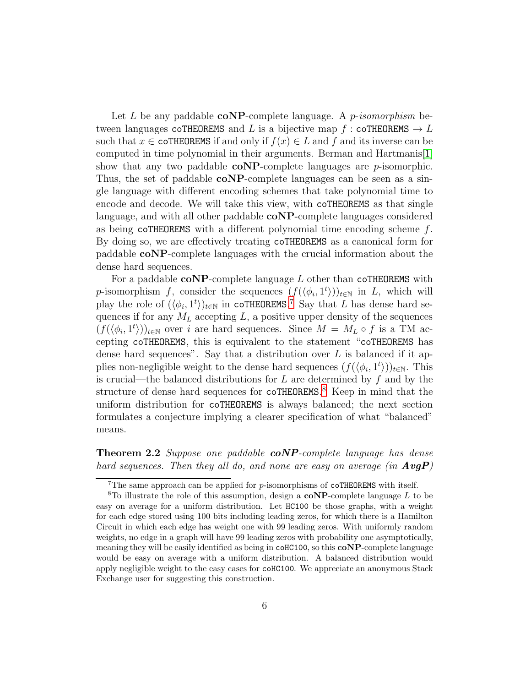Let L be any paddable  $coNP$ -complete language. A p-isomorphism between languages coTHEOREMS and L is a bijective map f : coTHEOREMS  $\rightarrow$  L such that  $x \in \text{coTHEOREMS}$  if and only if  $f(x) \in L$  and f and its inverse can be computed in time polynomial in their arguments. Berman and Hartmanis[\[1\]](#page-12-0) show that any two paddable  $\mathbf{coNP}\text{-complete}$  languages are *p*-isomorphic. Thus, the set of paddable **coNP**-complete languages can be seen as a single language with different encoding schemes that take polynomial time to encode and decode. We will take this view, with coTHEOREMS as that single language, and with all other paddable coNP-complete languages considered as being coTHEOREMS with a different polynomial time encoding scheme  $f$ . By doing so, we are effectively treating coTHEOREMS as a canonical form for paddable coNP-complete languages with the crucial information about the dense hard sequences.

For a paddable  $coNP$ -complete language  $L$  other than coTHEOREMS with p-isomorphism f, consider the sequences  $(f(\langle \phi_i, 1^t \rangle))_{t \in \mathbb{N}}$  in L, which will play the role of  $(\langle \phi_i, 1^t \rangle)_{t \in \mathbb{N}}$  in coTHEOREMS.<sup>[7](#page-5-0)</sup> Say that L has dense hard sequences if for any  $M_L$  accepting  $L$ , a positive upper density of the sequences  $(f(\langle \phi_i, 1^t \rangle))_{t \in \mathbb{N}}$  over i are hard sequences. Since  $M = M_L \circ f$  is a TM accepting coTHEOREMS, this is equivalent to the statement "coTHEOREMS has dense hard sequences". Say that a distribution over  $L$  is balanced if it applies non-negligible weight to the dense hard sequences  $(f(\langle \phi_i, 1^t \rangle))_{t \in \mathbb{N}}$ . This is crucial—the balanced distributions for  $L$  are determined by  $f$  and by the structure of dense hard sequences for coTHEOREMS.<sup>[8](#page-5-1)</sup> Keep in mind that the uniform distribution for coTHEOREMS is always balanced; the next section formulates a conjecture implying a clearer specification of what "balanced" means.

<span id="page-5-2"></span>Theorem 2.2 Suppose one paddable coNP-complete language has dense hard sequences. Then they all do, and none are easy on average  $(in \; AvgP)$ 

<span id="page-5-0"></span><sup>&</sup>lt;sup>7</sup>The same approach can be applied for  $p$ -isomorphisms of coTHEOREMS with itself.

<span id="page-5-1"></span><sup>&</sup>lt;sup>8</sup>To illustrate the role of this assumption, design a  $\mathbf{coNP}$ -complete language L to be easy on average for a uniform distribution. Let HC100 be those graphs, with a weight for each edge stored using 100 bits including leading zeros, for which there is a Hamilton Circuit in which each edge has weight one with 99 leading zeros. With uniformly random weights, no edge in a graph will have 99 leading zeros with probability one asymptotically, meaning they will be easily identified as being in coHC100, so this  $coNP$ -complete language would be easy on average with a uniform distribution. A balanced distribution would apply negligible weight to the easy cases for coHC100. We appreciate an anonymous Stack Exchange user for suggesting this construction.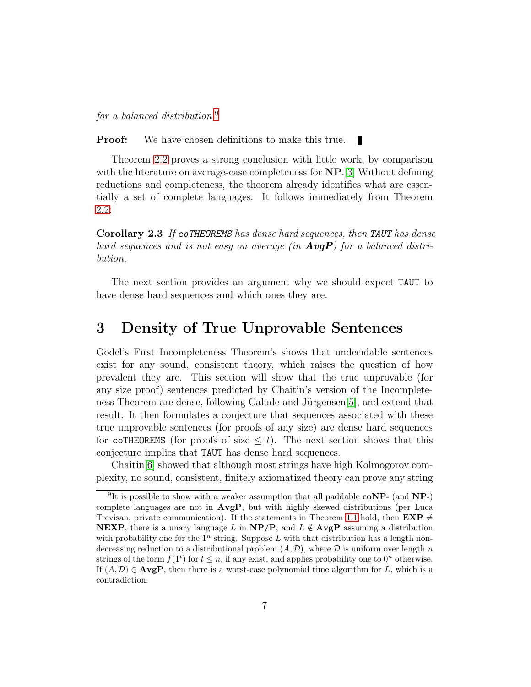for a balanced distribution.[9](#page-6-1)

**Proof:** We have chosen definitions to make this true.

Theorem [2.2](#page-5-2) proves a strong conclusion with little work, by comparison with the literature on average-case completeness for **NP**.[\[3\]](#page-13-4) Without defining reductions and completeness, the theorem already identifies what are essentially a set of complete languages. It follows immediately from Theorem [2.2:](#page-5-2)

Corollary 2.3 If coTHEOREMS has dense hard sequences, then TAUT has dense hard sequences and is not easy on average (in  $AvgP$ ) for a balanced distribution.

The next section provides an argument why we should expect TAUT to have dense hard sequences and which ones they are.

### <span id="page-6-0"></span>3 Density of True Unprovable Sentences

Gödel's First Incompleteness Theorem's shows that undecidable sentences exist for any sound, consistent theory, which raises the question of how prevalent they are. This section will show that the true unprovable (for any size proof) sentences predicted by Chaitin's version of the Incompleteness Theorem are dense, following Calude and Jürgensen $[5]$ , and extend that result. It then formulates a conjecture that sequences associated with these true unprovable sentences (for proofs of any size) are dense hard sequences for coTHEOREMS (for proofs of size  $\leq t$ ). The next section shows that this conjecture implies that TAUT has dense hard sequences.

Chaitin[\[6\]](#page-13-6) showed that although most strings have high Kolmogorov complexity, no sound, consistent, finitely axiomatized theory can prove any string

<span id="page-6-1"></span><sup>&</sup>lt;sup>9</sup>It is possible to show with a weaker assumption that all paddable  $coNP-$  (and  $NP-)$ complete languages are not in  $AvgP$ , but with highly skewed distributions (per Luca Trevisan, private communication). If the statements in Theorem [1.1](#page-2-2) hold, then  $\mathbf{EXP} \neq$ **NEXP**, there is a unary language L in  $NP/P$ , and  $L \notin \text{AvgP}$  assuming a distribution with probability one for the  $1^n$  string. Suppose L with that distribution has a length nondecreasing reduction to a distributional problem  $(A, \mathcal{D})$ , where  $\mathcal D$  is uniform over length n strings of the form  $f(1^t)$  for  $t \leq n$ , if any exist, and applies probability one to  $0^n$  otherwise. If  $(A, \mathcal{D}) \in \mathbf{AvgP}$ , then there is a worst-case polynomial time algorithm for L, which is a contradiction.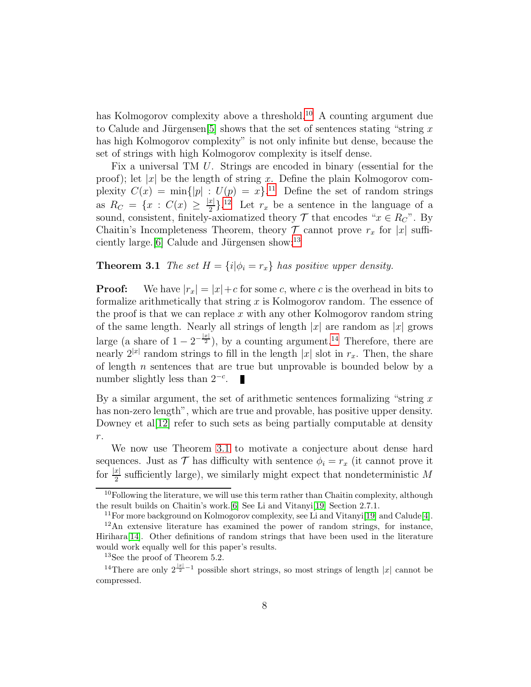has Kolmogorov complexity above a threshold.<sup>[10](#page-7-0)</sup> A counting argument due to Calude and Jürgensen<sup>[\[5\]](#page-13-5)</sup> shows that the set of sentences stating "string x" has high Kolmogorov complexity" is not only infinite but dense, because the set of strings with high Kolmogorov complexity is itself dense.

Fix a universal TM U. Strings are encoded in binary (essential for the proof); let |x| be the length of string x. Define the plain Kolmogorov complexity  $C(x) = \min\{|p| : U(p) = x\}.$ <sup>[11](#page-7-1)</sup> Define the set of random strings as  $R_C = \{x : C(x) \geq \frac{|x|}{2} \}$  $\frac{x}{2}$ .<sup>[12](#page-7-2)</sup> Let  $r_x$  be a sentence in the language of a sound, consistent, finitely-axiomatized theory  $\mathcal T$  that encodes " $x \in R_C$ ". By Chaitin's Incompleteness Theorem, theory  $\mathcal T$  cannot prove  $r_x$  for |x| suffi-ciently large.[\[6\]](#page-13-6) Calude and Jürgensen show: $^{13}$  $^{13}$  $^{13}$ 

#### <span id="page-7-5"></span>**Theorem 3.1** The set  $H = \{i | \phi_i = r_x\}$  has positive upper density.

**Proof:** We have  $|r_x| = |x| + c$  for some c, where c is the overhead in bits to formalize arithmetically that string  $x$  is Kolmogorov random. The essence of the proof is that we can replace  $x$  with any other Kolmogorov random string of the same length. Nearly all strings of length  $|x|$  are random as  $|x|$  grows large (a share of  $1 - 2^{-\frac{|x|}{2}}$ ), by a counting argument.<sup>[14](#page-7-4)</sup> Therefore, there are nearly  $2^{|x|}$  random strings to fill in the length |x| slot in  $r_x$ . Then, the share of length  $n$  sentences that are true but unprovable is bounded below by a number slightly less than  $2^{-c}$ .

By a similar argument, the set of arithmetic sentences formalizing "string  $x$ has non-zero length", which are true and provable, has positive upper density. Downey et al $[12]$  refer to such sets as being partially computable at density r.

We now use Theorem [3.1](#page-7-5) to motivate a conjecture about dense hard sequences. Just as  $\mathcal T$  has difficulty with sentence  $\phi_i = r_x$  (it cannot prove it for  $\frac{|x|}{2}$  sufficiently large), we similarly might expect that nondeterministic M

 $10F$ ollowing the literature, we will use this term rather than Chaitin complexity, although the result builds on Chaitin's work.[\[6\]](#page-13-6) See Li and Vitanyi[\[19\]](#page-14-5) Section 2.7.1.

<span id="page-7-1"></span><span id="page-7-0"></span><sup>&</sup>lt;sup>11</sup>For more background on Kolmogorov complexity, see Li and Vitanyi<sup>[\[19\]](#page-14-5)</sup> and Calude<sup>[\[4\]](#page-13-8)</sup>.

<span id="page-7-2"></span> $12$ An extensive literature has examined the power of random strings, for instance, Hirihara[\[14\]](#page-14-6). Other definitions of random strings that have been used in the literature would work equally well for this paper's results.

<span id="page-7-3"></span><sup>13</sup>See the proof of Theorem 5.2.

<span id="page-7-4"></span><sup>&</sup>lt;sup>14</sup>There are only  $2^{\frac{|x|}{2}-1}$  possible short strings, so most strings of length |x| cannot be compressed.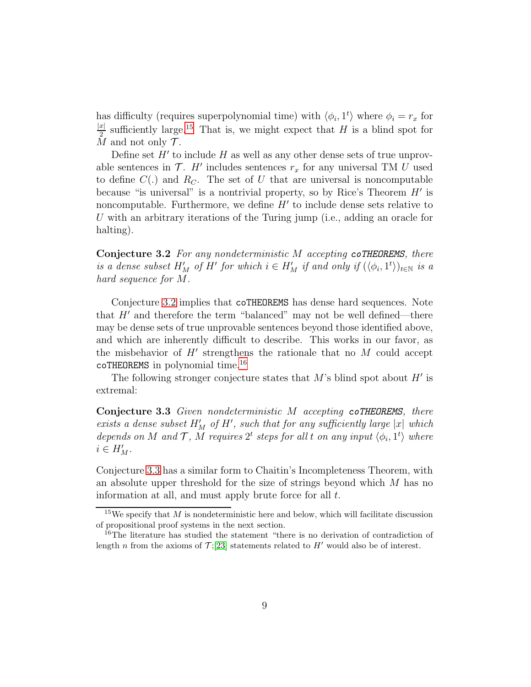has difficulty (requires superpolynomial time) with  $\langle \phi_i, 1^t \rangle$  where  $\phi_i = r_x$  for  $|x|$  $\frac{x}{2}$  sufficiently large.<sup>[15](#page-8-0)</sup> That is, we might expect that H is a blind spot for M and not only  $\mathcal T$ .

Define set  $H'$  to include  $H$  as well as any other dense sets of true unprovable sentences in  $\mathcal{T}$ . H' includes sentences  $r_x$  for any universal TM U used to define  $C(.)$  and  $R<sub>C</sub>$ . The set of U that are universal is noncomputable because "is universal" is a nontrivial property, so by Rice's Theorem  $H'$  is noncomputable. Furthermore, we define  $H'$  to include dense sets relative to U with an arbitrary iterations of the Turing jump (i.e., adding an oracle for halting).

<span id="page-8-1"></span>Conjecture 3.2 For any nondeterministic M accepting coTHEOREMS, there is a dense subset  $H'_M$  of  $H'$  for which  $i \in H'_M$  if and only if  $(\langle \phi_i, 1^t \rangle)_{t \in \mathbb{N}}$  is a hard sequence for M.

Conjecture [3.2](#page-8-1) implies that coTHEOREMS has dense hard sequences. Note that  $H'$  and therefore the term "balanced" may not be well defined—there may be dense sets of true unprovable sentences beyond those identified above, and which are inherently difficult to describe. This works in our favor, as the misbehavior of  $H'$  strengthens the rationale that no  $M$  could accept coTHEOREMS in polynomial time.[16](#page-8-2)

<span id="page-8-3"></span>The following stronger conjecture states that  $M$ 's blind spot about  $H'$  is extremal:

Conjecture 3.3 Given nondeterministic M accepting coTHEOREMS, there exists a dense subset  $H'_{M}$  of  $H'$ , such that for any sufficiently large |x| which depends on M and T, M requires  $2^t$  steps for all t on any input  $\langle \phi_i, 1^t \rangle$  where  $i \in H'_M$ .

Conjecture [3.3](#page-8-3) has a similar form to Chaitin's Incompleteness Theorem, with an absolute upper threshold for the size of strings beyond which M has no information at all, and must apply brute force for all t.

<span id="page-8-0"></span><sup>&</sup>lt;sup>15</sup>We specify that M is nondeterministic here and below, which will facilitate discussion of propositional proof systems in the next section.

<span id="page-8-2"></span><sup>&</sup>lt;sup>16</sup>The literature has studied the statement "there is no derivation of contradiction of length n from the axioms of  $\mathcal{T};[23]$  $\mathcal{T};[23]$  statements related to H' would also be of interest.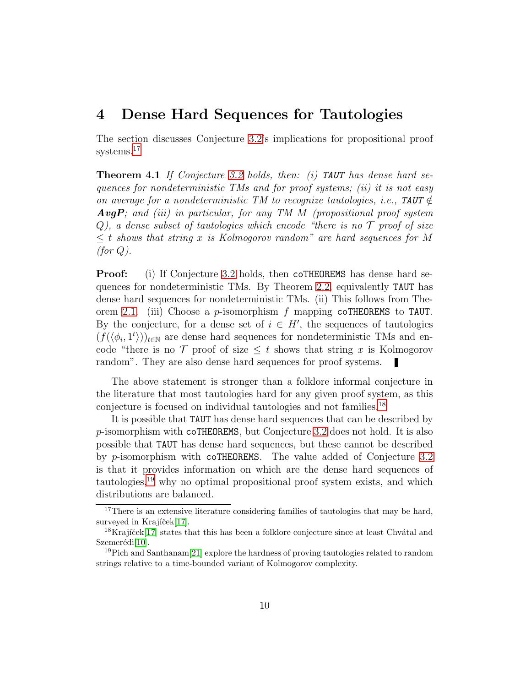#### <span id="page-9-0"></span>4 Dense Hard Sequences for Tautologies

The section discusses Conjecture [3.2'](#page-8-1)s implications for propositional proof systems.<sup>[17](#page-9-1)</sup>

**Theorem 4.1** If Conjecture [3.2](#page-8-1) holds, then: (i) **TAUT** has dense hard sequences for nondeterministic TMs and for proof systems; (ii) it is not easy on average for a nondeterministic TM to recognize tautologies, i.e., TAUT  $\notin$ **AvgP**; and (iii) in particular, for any TM  $M$  (propositional proof system  $Q$ ), a dense subset of tautologies which encode "there is no  $\mathcal T$  proof of size  $\leq t$  shows that string x is Kolmogorov random" are hard sequences for M  $(for Q).$ 

**Proof:** (i) If Conjecture [3.2](#page-8-1) holds, then coTHEOREMS has dense hard sequences for nondeterministic TMs. By Theorem [2.2,](#page-5-2) equivalently TAUT has dense hard sequences for nondeterministic TMs. (ii) This follows from The-orem [2.1.](#page-4-1) (iii) Choose a p-isomorphism f mapping coTHEOREMS to TAUT. By the conjecture, for a dense set of  $i \in H'$ , the sequences of tautologies  $(f(\langle \phi_i, 1^t \rangle))_{t \in \mathbb{N}}$  are dense hard sequences for nondeterministic TMs and encode "there is no  $\mathcal T$  proof of size  $\leq t$  shows that string x is Kolmogorov random". They are also dense hard sequences for proof systems. п

The above statement is stronger than a folklore informal conjecture in the literature that most tautologies hard for any given proof system, as this conjecture is focused on individual tautologies and not families.[18](#page-9-2)

It is possible that TAUT has dense hard sequences that can be described by p-isomorphism with coTHEOREMS, but Conjecture [3.2](#page-8-1) does not hold. It is also possible that TAUT has dense hard sequences, but these cannot be described by p-isomorphism with coTHEOREMS. The value added of Conjecture [3.2](#page-8-1) is that it provides information on which are the dense hard sequences of tautologies,[19](#page-9-3) why no optimal propositional proof system exists, and which distributions are balanced.

<span id="page-9-1"></span><sup>&</sup>lt;sup>17</sup>There is an extensive literature considering families of tautologies that may be hard, surveyed in Krajíček[\[17\]](#page-14-2).

<span id="page-9-2"></span><sup>&</sup>lt;sup>18</sup>Krajíček $[17]$  states that this has been a folklore conjecture since at least Chvátal and Szemerédi<sup>[\[10\]](#page-13-9)</sup>.

<span id="page-9-3"></span><sup>&</sup>lt;sup>19</sup>Pich and Santhanam<sup>[\[21\]](#page-14-8)</sup> explore the hardness of proving tautologies related to random strings relative to a time-bounded variant of Kolmogorov complexity.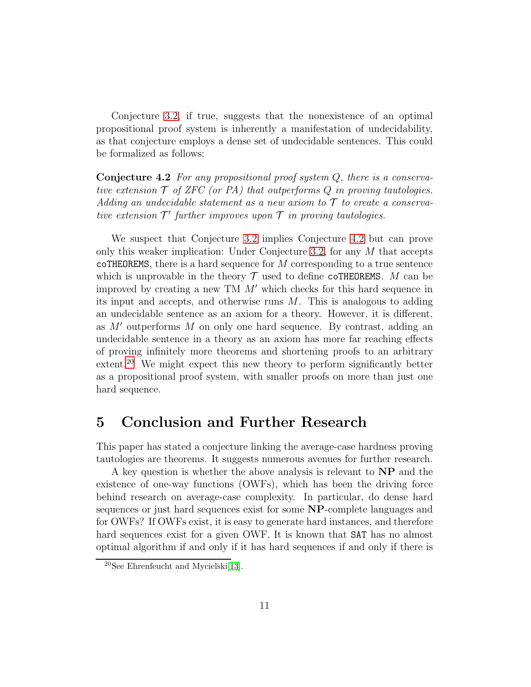Conjecture [3.2,](#page-8-1) if true, suggests that the nonexistence of an optimal propositional proof system is inherently a manifestation of undecidability, as that conjecture employs a dense set of undecidable sentences. This could be formalized as follows:

<span id="page-10-1"></span>**Conjecture 4.2** For any propositional proof system  $Q$ , there is a conservative extension  $\mathcal T$  of ZFC (or PA) that outperforms  $Q$  in proving tautologies. Adding an undecidable statement as a new axiom to  $\mathcal T$  to create a conservative extension  $\mathcal{T}'$  further improves upon  $\mathcal T$  in proving tautologies.

We suspect that Conjecture [3.2](#page-8-1) implies Conjecture [4.2](#page-10-1) but can prove only this weaker implication: Under Conjecture [3.2,](#page-8-1) for any  $M$  that accepts coTHEOREMS, there is a hard sequence for  $M$  corresponding to a true sentence which is unprovable in the theory  $\mathcal T$  used to define coTHEOREMS. M can be improved by creating a new TM  $M'$  which checks for this hard sequence in its input and accepts, and otherwise runs  $M$ . This is analogous to adding an undecidable sentence as an axiom for a theory. However, it is different, as  $M'$  outperforms  $M$  on only one hard sequence. By contrast, adding an undecidable sentence in a theory as an axiom has more far reaching effects of proving infinitely more theorems and shortening proofs to an arbitrary extent.<sup>[20](#page-10-2)</sup> We might expect this new theory to perform significantly better as a propositional proof system, with smaller proofs on more than just one hard sequence.

#### <span id="page-10-0"></span>5 Conclusion and Further Research

This paper has stated a conjecture linking the average-case hardness proving tautologies are theorems. It suggests numerous avenues for further research.

A key question is whether the above analysis is relevant to NP and the existence of one-way functions (OWFs), which has been the driving force behind research on average-case complexity. In particular, do dense hard sequences or just hard sequences exist for some NP-complete languages and for OWFs? If OWFs exist, it is easy to generate hard instances, and therefore hard sequences exist for a given OWF. It is known that SAT has no almost optimal algorithm if and only if it has hard sequences if and only if there is

<span id="page-10-2"></span><sup>20</sup>See Ehrenfeucht and Mycielski[\[13\]](#page-14-9).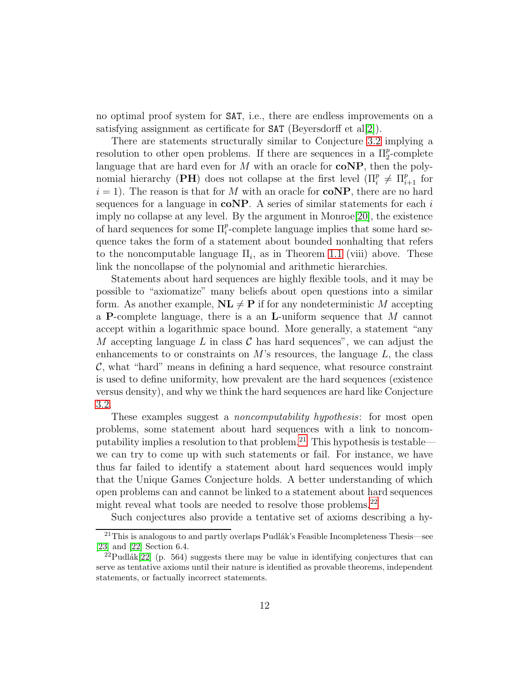no optimal proof system for SAT, i.e., there are endless improvements on a satisfying assignment as certificate for  $SAT$  (Beyersdorff et al[\[2\]](#page-12-1)).

There are statements structurally similar to Conjecture [3.2](#page-8-1) implying a resolution to other open problems. If there are sequences in a  $\Pi_2^p$ -complete language that are hard even for  $M$  with an oracle for  $\text{coNP}$ , then the polynomial hierarchy (PH) does not collapse at the first level  $(\Pi_i^p \neq \Pi_{i+1}^p$  for  $i = 1$ ). The reason is that for M with an oracle for **coNP**, there are no hard sequences for a language in  $\text{coNP}$ . A series of similar statements for each i imply no collapse at any level. By the argument in Monroe[\[20\]](#page-14-3), the existence of hard sequences for some  $\Pi_i^p$ -complete language implies that some hard sequence takes the form of a statement about bounded nonhalting that refers to the noncomputable language  $\Pi_i$ , as in Theorem [1.1](#page-2-2) (viii) above. These link the noncollapse of the polynomial and arithmetic hierarchies.

Statements about hard sequences are highly flexible tools, and it may be possible to "axiomatize" many beliefs about open questions into a similar form. As another example,  $\mathbf{NL} \neq \mathbf{P}$  if for any nondeterministic M accepting a **P**-complete language, there is a an **L**-uniform sequence that  $M$  cannot accept within a logarithmic space bound. More generally, a statement "any M accepting language L in class C has hard sequences", we can adjust the enhancements to or constraints on  $M$ 's resources, the language  $L$ , the class  $\mathcal{C}$ , what "hard" means in defining a hard sequence, what resource constraint is used to define uniformity, how prevalent are the hard sequences (existence versus density), and why we think the hard sequences are hard like Conjecture [3.2.](#page-8-1)

These examples suggest a *noncomputability hypothesis*: for most open problems, some statement about hard sequences with a link to noncom-putability implies a resolution to that problem.<sup>[21](#page-11-0)</sup> This hypothesis is testable we can try to come up with such statements or fail. For instance, we have thus far failed to identify a statement about hard sequences would imply that the Unique Games Conjecture holds. A better understanding of which open problems can and cannot be linked to a statement about hard sequences might reveal what tools are needed to resolve those problems.<sup>[22](#page-11-1)</sup>

Such conjectures also provide a tentative set of axioms describing a hy-

<span id="page-11-0"></span> $^{21}\mathrm{This}$  is analogous to and partly overlaps Pudlák's Feasible Incompleteness Thesis—see [\[23\]](#page-14-7) and [\[22\]](#page-14-10) Section 6.4.

<span id="page-11-1"></span><sup>&</sup>lt;sup>22</sup>Pudlák[\[22\]](#page-14-10) (p. 564) suggests there may be value in identifying conjectures that can serve as tentative axioms until their nature is identified as provable theorems, independent statements, or factually incorrect statements.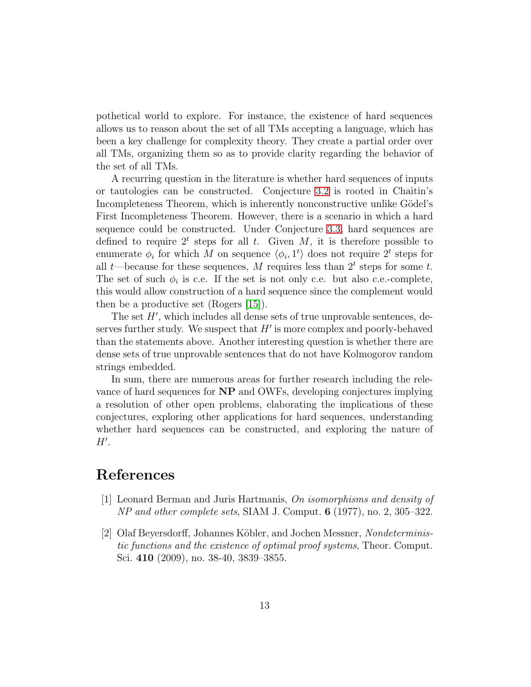pothetical world to explore. For instance, the existence of hard sequences allows us to reason about the set of all TMs accepting a language, which has been a key challenge for complexity theory. They create a partial order over all TMs, organizing them so as to provide clarity regarding the behavior of the set of all TMs.

A recurring question in the literature is whether hard sequences of inputs or tautologies can be constructed. Conjecture [3.2](#page-8-1) is rooted in Chaitin's Incompleteness Theorem, which is inherently nonconstructive unlike Gödel's First Incompleteness Theorem. However, there is a scenario in which a hard sequence could be constructed. Under Conjecture [3.3,](#page-8-3) hard sequences are defined to require  $2^t$  steps for all t. Given M, it is therefore possible to enumerate  $\phi_i$  for which M on sequence  $\langle \phi_i, 1^t \rangle$  does not require  $2^t$  steps for all  $t$ —because for these sequences, M requires less than  $2<sup>t</sup>$  steps for some t. The set of such  $\phi_i$  is c.e. If the set is not only c.e. but also c.e.-complete, this would allow construction of a hard sequence since the complement would then be a productive set (Rogers [\[15\]](#page-14-11)).

The set  $H'$ , which includes all dense sets of true unprovable sentences, deserves further study. We suspect that  $H'$  is more complex and poorly-behaved than the statements above. Another interesting question is whether there are dense sets of true unprovable sentences that do not have Kolmogorov random strings embedded.

In sum, there are numerous areas for further research including the relevance of hard sequences for NP and OWFs, developing conjectures implying a resolution of other open problems, elaborating the implications of these conjectures, exploring other applications for hard sequences, understanding whether hard sequences can be constructed, and exploring the nature of  $H^{\prime}$ .

## <span id="page-12-0"></span>References

- <span id="page-12-1"></span>[1] Leonard Berman and Juris Hartmanis, On isomorphisms and density of NP and other complete sets, SIAM J. Comput. 6 (1977), no. 2, 305–322.
- [2] Olaf Beyersdorff, Johannes Köbler, and Jochen Messner, *Nondeterminis*tic functions and the existence of optimal proof systems, Theor. Comput. Sci. 410 (2009), no. 38-40, 3839–3855.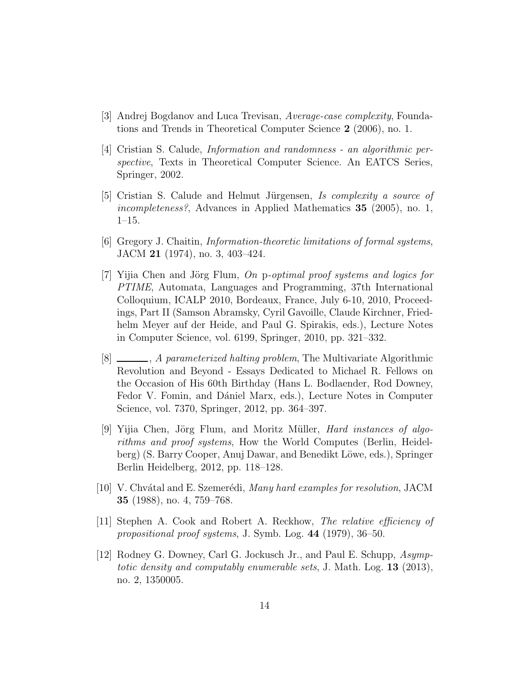- <span id="page-13-8"></span><span id="page-13-4"></span>[3] Andrej Bogdanov and Luca Trevisan, Average-case complexity, Foundations and Trends in Theoretical Computer Science 2 (2006), no. 1.
- [4] Cristian S. Calude, Information and randomness an algorithmic perspective, Texts in Theoretical Computer Science. An EATCS Series, Springer, 2002.
- <span id="page-13-5"></span>[5] Cristian S. Calude and Helmut Jürgensen, Is complexity a source of incompleteness?, Advances in Applied Mathematics 35 (2005), no. 1, 1–15.
- <span id="page-13-6"></span><span id="page-13-2"></span>[6] Gregory J. Chaitin, Information-theoretic limitations of formal systems, JACM 21 (1974), no. 3, 403–424.
- [7] Yijia Chen and Jörg Flum, On p-optimal proof systems and logics for PTIME, Automata, Languages and Programming, 37th International Colloquium, ICALP 2010, Bordeaux, France, July 6-10, 2010, Proceedings, Part II (Samson Abramsky, Cyril Gavoille, Claude Kirchner, Friedhelm Meyer auf der Heide, and Paul G. Spirakis, eds.), Lecture Notes in Computer Science, vol. 6199, Springer, 2010, pp. 321–332.
- <span id="page-13-3"></span>[8]  $\Box$ , *A parameterized halting problem*, The Multivariate Algorithmic Revolution and Beyond - Essays Dedicated to Michael R. Fellows on the Occasion of His 60th Birthday (Hans L. Bodlaender, Rod Downey, Fedor V. Fomin, and Dániel Marx, eds.), Lecture Notes in Computer Science, vol. 7370, Springer, 2012, pp. 364–397.
- <span id="page-13-1"></span>[9] Yijia Chen, Jörg Flum, and Moritz Müller, *Hard instances of algo*rithms and proof systems, How the World Computes (Berlin, Heidelberg) (S. Barry Cooper, Anuj Dawar, and Benedikt Löwe, eds.), Springer Berlin Heidelberg, 2012, pp. 118–128.
- <span id="page-13-9"></span>[10] V. Chvátal and E. Szemerédi, Many hard examples for resolution, JACM 35 (1988), no. 4, 759–768.
- <span id="page-13-0"></span>[11] Stephen A. Cook and Robert A. Reckhow, The relative efficiency of propositional proof systems, J. Symb. Log. 44 (1979), 36–50.
- <span id="page-13-7"></span>[12] Rodney G. Downey, Carl G. Jockusch Jr., and Paul E. Schupp, Asymptotic density and computably enumerable sets, J. Math. Log. 13 (2013), no. 2, 1350005.